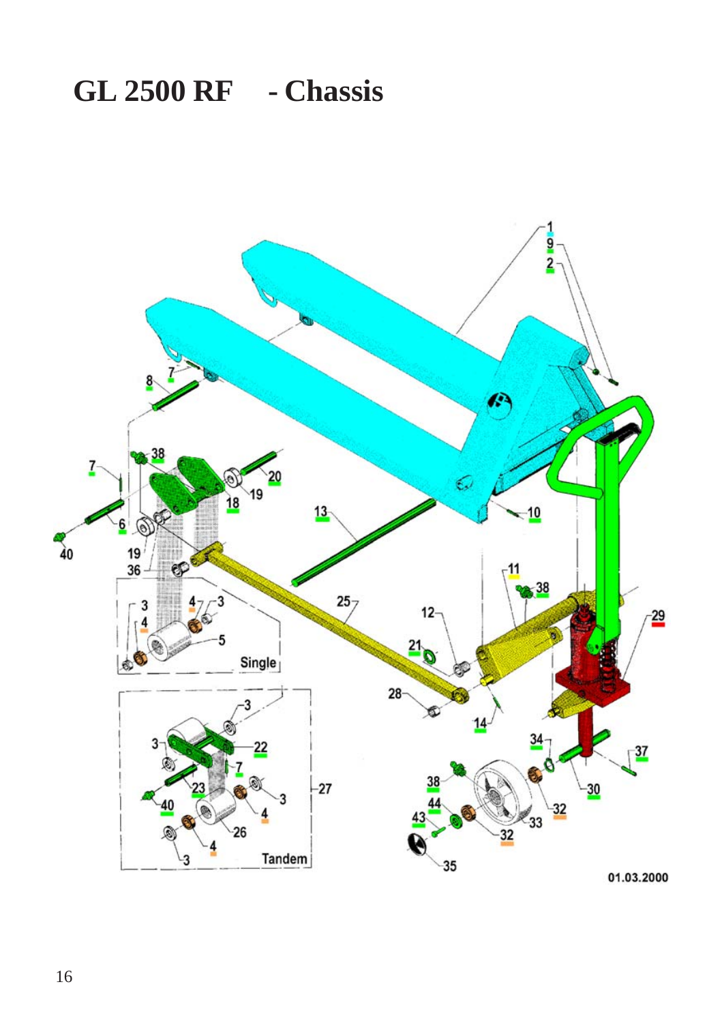## **GL 2500 RF - Chassis**

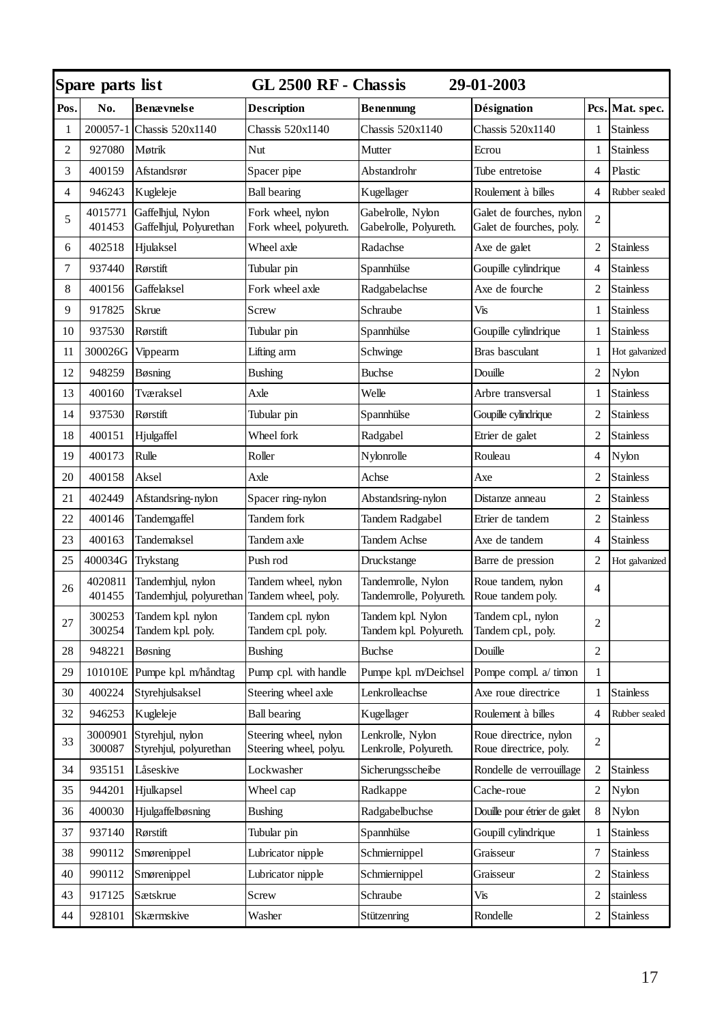| Spare parts list<br>GL 2500 RF - Chassis<br><b>29-01-2003</b> |                   |                                              |                                                 |                                               |                                                      |                |                   |
|---------------------------------------------------------------|-------------------|----------------------------------------------|-------------------------------------------------|-----------------------------------------------|------------------------------------------------------|----------------|-------------------|
| Pos.                                                          | No.               | <b>Benævnelse</b>                            | Description                                     | <b>Benennung</b>                              | Désignation                                          |                | Pcs.   Mat. spec. |
| 1                                                             | 200057-1          | Chassis 520x1140                             | Chassis 520x1140                                | Chassis 520x1140                              | Chassis 520x1140                                     | $\mathbf{1}$   | <b>Stainless</b>  |
| 2                                                             | 927080            | Møtrik                                       | Nut                                             | Mutter                                        | Ecrou                                                | 1              | <b>Stainless</b>  |
| 3                                                             | 400159            | Afstandsrør                                  | Spacer pipe                                     | Abstandrohr                                   | Tube entretoise                                      | $\overline{4}$ | Plastic           |
| $\overline{4}$                                                | 946243            | Kugleleje                                    | <b>Ball bearing</b>                             | Kugellager                                    | Roulement à billes                                   | $\overline{4}$ | Rubber sealed     |
| 5                                                             | 4015771<br>401453 | Gaffelhjul, Nylon<br>Gaffelhjul, Polyurethan | Fork wheel, nylon<br>Fork wheel, polyureth.     | Gabelrolle, Nylon<br>Gabelrolle, Polyureth.   | Galet de fourches, nylon<br>Galet de fourches, poly. | $\overline{c}$ |                   |
| 6                                                             | 402518            | Hjulaksel                                    | Wheel axle                                      | Radachse                                      | Axe de galet                                         | 2              | <b>Stainless</b>  |
| 7                                                             | 937440            | Rørstift                                     | Tubular pin                                     | Spannhülse                                    | Goupille cylindrique                                 | 4              | <b>Stainless</b>  |
| 8                                                             | 400156            | Gaffelaksel                                  | Fork wheel axle                                 | Radgabelachse                                 | Axe de fourche                                       | 2              | Stainless         |
| 9                                                             | 917825            | Skrue                                        | Screw                                           | Schraube                                      | Vis                                                  | 1              | <b>Stainless</b>  |
| $10\,$                                                        | 937530            | Rørstift                                     | Tubular pin                                     | Spannhülse                                    | Goupille cylindrique                                 | $\mathbf{1}$   | <b>Stainless</b>  |
| 11                                                            | 300026G           | Vippearm                                     | Lifting arm                                     | Schwinge                                      | Bras basculant                                       | $\mathbf{1}$   | Hot galvanized    |
| 12                                                            | 948259            | Bøsning                                      | Bushing                                         | <b>Buchse</b>                                 | Douille                                              | 2              | Nylon             |
| 13                                                            | 400160            | Tværaksel                                    | Axle                                            | Welle                                         | Arbre transversal                                    | 1              | <b>Stainless</b>  |
| 14                                                            | 937530            | Rørstift                                     | Tubular pin                                     | Spannhülse                                    | Goupille cylindrique                                 | $\overline{c}$ | <b>Stainless</b>  |
| 18                                                            | 400151            | Hjulgaffel                                   | Wheel fork                                      | Radgabel                                      | Etrier de galet                                      | 2              | Stainless         |
| 19                                                            | 400173            | Rulle                                        | Roller                                          | Nylonrolle                                    | Rouleau                                              | $\overline{4}$ | Nylon             |
| 20                                                            | 400158            | Aksel                                        | Axle                                            | Achse                                         | Axe                                                  | 2              | <b>Stainless</b>  |
| 21                                                            | 402449            | Afstandsring-nylon                           | Spacer ring-nylon                               | Abstandsring-nylon                            | Distanze anneau                                      | 2              | Stainless         |
| 22                                                            | 400146            | Tandemgaffel                                 | Tandem fork                                     | Tandem Radgabel                               | Etrier de tandem                                     | 2              | Stainless         |
| 23                                                            | 400163            | Tandemaksel                                  | Tandem axle                                     | Tandem Achse                                  | Axe de tandem                                        | $\overline{4}$ | <b>Stainless</b>  |
| 25                                                            | 400034G           | Trykstang                                    | Push rod                                        | Druckstange                                   | Barre de pression                                    | $\overline{c}$ | Hot galvanized    |
| 26                                                            | 4020811<br>401455 | Tandemhjul, nylon<br>Tandemhjul, polyurethan | Tandem wheel, nylon<br>Tandem wheel, poly.      | Tandemrolle, Nylon<br>Tandemrolle, Polyureth. | Roue tandem, nylon<br>Roue tandem poly.              | $\overline{4}$ |                   |
| 27                                                            | 300253<br>300254  | Tandem kpl. nylon<br>Tandem kpl. poly.       | Tandem cpl. nylon<br>Tandem cpl. poly.          | Tandem kpl. Nylon<br>Tandem kpl. Polyureth.   | Tandem cpl., nylon<br>Tandem cpl., poly.             | 2              |                   |
| 28                                                            | 948221            | Bøsning                                      | Bushing                                         | <b>Buchse</b>                                 | Douille                                              | $\overline{c}$ |                   |
| 29                                                            | 101010E           | Pumpe kpl. m/håndtag                         | Pump cpl. with handle                           | Pumpe kpl. m/Deichsel                         | Pompe compl. a/ timon                                | $\mathbf{1}$   |                   |
| 30                                                            | 400224            | Styrehjulsaksel                              | Steering wheel axle                             | Lenkrolleachse                                | Axe roue directrice                                  | 1              | <b>Stainless</b>  |
| 32                                                            | 946253            | Kugleleje                                    | <b>Ball bearing</b>                             | Kugellager                                    | Roulement à billes                                   | $\overline{4}$ | Rubber sealed     |
| 33                                                            | 3000901<br>300087 | Styrehjul, nylon<br>Styrehjul, polyurethan   | Steering wheel, nylon<br>Steering wheel, polyu. | Lenkrolle, Nylon<br>Lenkrolle, Polyureth.     | Roue directrice, nylon<br>Roue directrice, poly.     | 2              |                   |
| 34                                                            | 935151            | Låseskive                                    | Lockwasher                                      | Sicherungsscheibe                             | Rondelle de verrouillage                             | $\overline{c}$ | <b>Stainless</b>  |
| 35                                                            | 944201            | Hjulkapsel                                   | Wheel cap                                       | Radkappe                                      | Cache-roue                                           | $\overline{c}$ | Nylon             |
| 36                                                            | 400030            | Hjulgaffelbøsning                            | Bushing                                         | Radgabelbuchse                                | Douille pour étrier de galet                         | 8              | Nylon             |
| 37                                                            | 937140            | Rørstift                                     | Tubular pin                                     | Spannhülse                                    | Goupill cylindrique                                  | 1              | <b>Stainless</b>  |
| 38                                                            | 990112            | Smørenippel                                  | Lubricator nipple                               | Schmiernippel                                 | Graisseur                                            | 7              | <b>Stainless</b>  |
| 40                                                            | 990112            | Smørenippel                                  | Lubricator nipple                               | Schmiernippel                                 | Graisseur                                            | $\overline{c}$ | <b>Stainless</b>  |
| 43                                                            | 917125            | Sætskrue                                     | Screw                                           | Schraube                                      | Vis                                                  | 2              | stainless         |
| 44                                                            | 928101            | Skærmskive                                   | Washer                                          | Stützenring                                   | Rondelle                                             | 2              | Stainless         |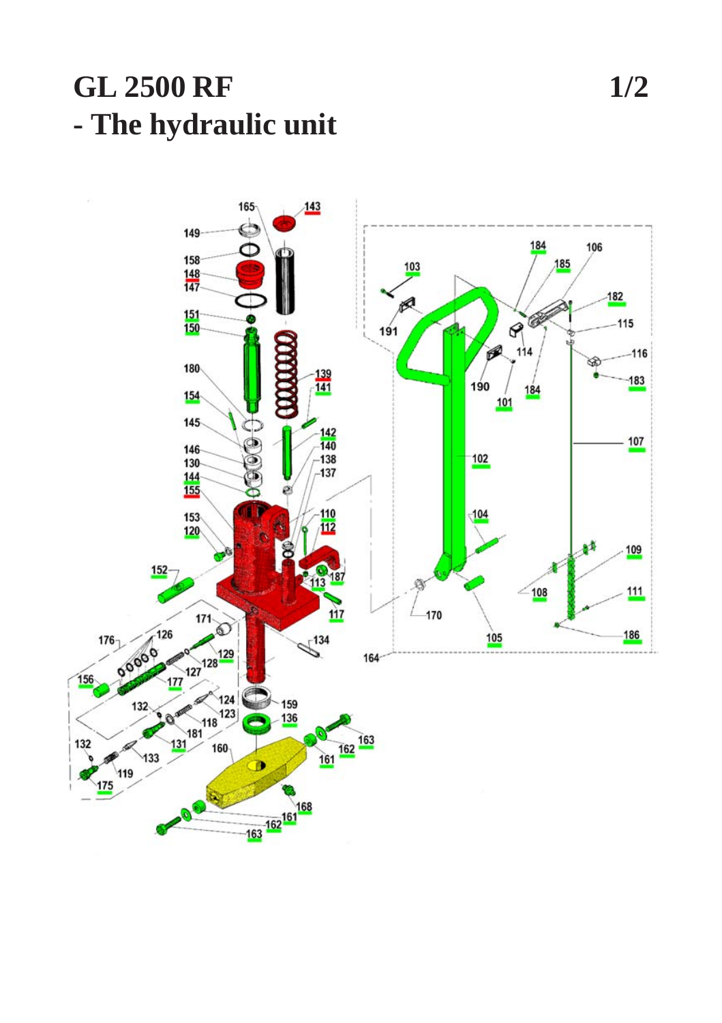## **GL 2500 RF** - The hydraulic unit

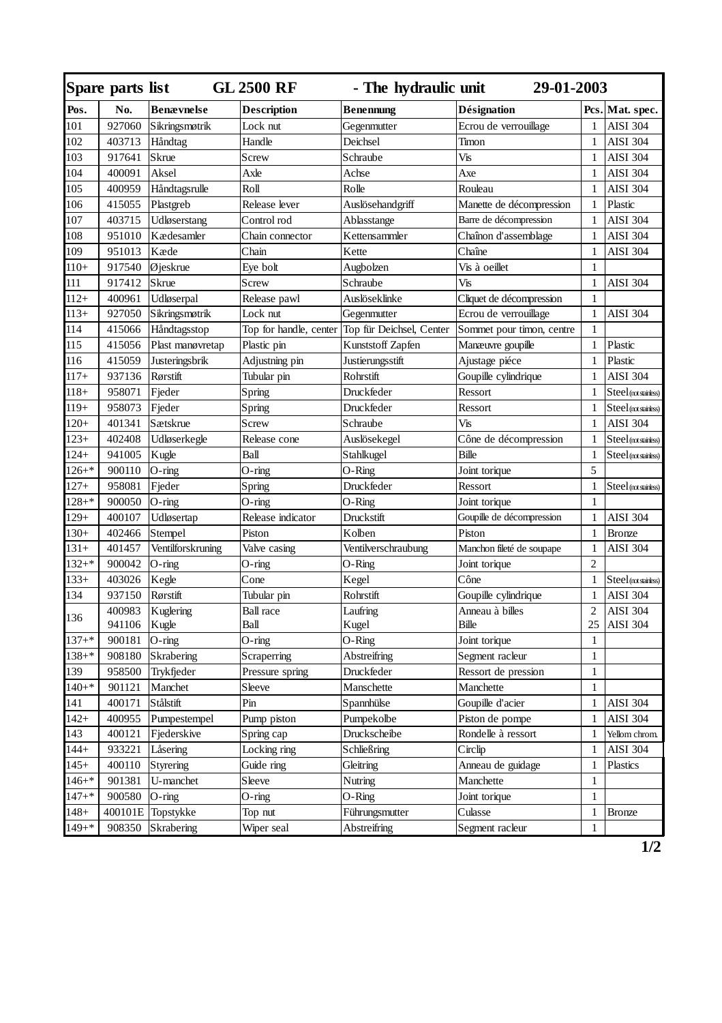|           | Spare parts list<br>GL 2500 RF<br>- The hydraulic unit<br>29-01-2003 |                   |                        |                          |                           |                |                       |
|-----------|----------------------------------------------------------------------|-------------------|------------------------|--------------------------|---------------------------|----------------|-----------------------|
| Pos.      | No.                                                                  | <b>Benævnelse</b> | <b>Description</b>     | Benennung                | Désignation               |                | Pcs. Mat. spec.       |
| 101       | 927060                                                               | Sikringsmøtrik    | Lock nut               | Gegenmutter              | Ecrou de verrouillage     | 1              | <b>AISI 304</b>       |
| 102       | 403713                                                               | Håndtag           | Handle                 | Deichsel                 | Timon                     | $\mathbf{1}$   | <b>AISI 304</b>       |
| 103       | 917641                                                               | Skrue             | Screw                  | Schraube                 | Vis                       | $\mathbf{1}$   | <b>AISI 304</b>       |
| 104       | 400091                                                               | Aksel             | Axle                   | Achse                    | Axe                       | $\mathbf{1}$   | <b>AISI 304</b>       |
| 105       | 400959                                                               | Håndtagsrulle     | Roll                   | Rolle                    | Rouleau                   | $\mathbf{1}$   | <b>AISI 304</b>       |
| 106       | 415055                                                               | Plastgreb         | Release lever          | Auslösehandgriff         | Manette de décompression  | $\mathbf{1}$   | Plastic               |
| 107       | 403715                                                               | Udløserstang      | Control rod            | Ablasstange              | Barre de décompression    | $\mathbf{1}$   | <b>AISI 304</b>       |
| 108       | 951010                                                               | Kædesamler        | Chain connector        | Kettensammler            | Chaînon d'assemblage      | $\mathbf{1}$   | <b>AISI 304</b>       |
| 109       | 951013                                                               | Kæde              | Chain                  | Kette                    | Chaîne                    | $\mathbf{1}$   | <b>AISI 304</b>       |
| $110+$    | 917540                                                               | Øjeskrue          | Eye bolt               | Augbolzen                | Vis à oeillet             | $\mathbf{1}$   |                       |
| 111       | 917412                                                               | Skrue             | Screw                  | Schraube                 | Vis                       | $\mathbf{1}$   | AISI 304              |
| $112+$    | 400961                                                               | Udløserpal        | Release pawl           | Auslöseklinke            | Cliquet de décompression  | $\mathbf{1}$   |                       |
| $113+$    | 927050                                                               | Sikringsmøtrik    | Lock nut               | Gegenmutter              | Ecrou de verrouillage     | $\mathbf{1}$   | <b>AISI 304</b>       |
| 114       | 415066                                                               | Håndtagsstop      | Top for handle, center | Top für Deichsel, Center | Sommet pour timon, centre | $\mathbf{1}$   |                       |
| 115       | 415056                                                               | Plast manøvretap  | Plastic pin            | <b>Kunststoff Zapfen</b> | Manæuvre goupille         | $\mathbf{1}$   | Plastic               |
| 116       | 415059                                                               | Justeringsbrik    | Adjustning pin         | Justierungsstift         | Ajustage piéce            | $\mathbf{1}$   | Plastic               |
| $117+$    | 937136                                                               | Rørstift          | Tubular pin            | Rohrstift                | Goupille cylindrique      | $\mathbf{1}$   | <b>AISI 304</b>       |
| $118+$    | 958071                                                               | Fjeder            | Spring                 | Druckfeder               | Ressort                   | $\mathbf{1}$   | Steel (not stainless) |
| $119+$    | 958073                                                               | Fjeder            | Spring                 | Druckfeder               | Ressort                   | $\mathbf{1}$   | Steel (mtstainess)    |
| $120+$    | 401341                                                               | Sætskrue          | Screw                  | Schraube                 | Vis                       | $\mathbf{1}$   | <b>AISI 304</b>       |
| $123+$    | 402408                                                               | Udløserkegle      | Release cone           | Auslösekegel             | Cône de décompression     | $\mathbf{1}$   | Steel (not stainless) |
| $124+$    | 941005                                                               | Kugle             | Ball                   | Stahlkugel               | <b>Bille</b>              | $\mathbf{1}$   | Steel (mtstainess)    |
| $126 +$ * | 900110                                                               | O-ring            | $O$ -ring              | O-Ring                   | Joint torique             | 5              |                       |
| $127+$    | 958081                                                               | Fjeder            | Spring                 | Druckfeder               | Ressort                   | $\mathbf{1}$   | Steel (not stainless) |
| $128 + *$ | 900050                                                               | O-ring            | O-ring                 | O-Ring                   | Joint torique             | $\mathbf{1}$   |                       |
| $129+$    | 400107                                                               | Udløsertap        | Release indicator      | Druckstift               | Goupille de décompression | $\mathbf{1}$   | <b>AISI 304</b>       |
| $130+$    | 402466                                                               | Stempel           | Piston                 | Kolben                   | Piston                    | $\mathbf{1}$   | <b>Bronze</b>         |
| $131+$    | 401457                                                               | Ventilforskruning | Valve casing           | Ventilverschraubung      | Manchon fileté de soupape | $\mathbf{1}$   | <b>AISI 304</b>       |
| $132 + *$ | 900042                                                               | $O$ -ring         | O-ring                 | O-Ring                   | Joint torique             | $\overline{c}$ |                       |
| $133+$    | 403026                                                               | Kegle             | Cone                   | Kegel                    | Cône                      | $\mathbf{1}$   | Steel (mtstaness)     |
| 134       | 937150                                                               | Rørstift          | Tubular pin            | Rohrstift                | Goupille cylindrique      | $\mathbf{1}$   | <b>AISI 304</b>       |
| 136       | 400983                                                               | Kuglering         | <b>Ball</b> race       | Laufring                 | Anneau à billes           | $\overline{c}$ | <b>AISI 304</b>       |
|           | 941106                                                               | Kugle             | Ball                   | Kugel                    | <b>Bille</b>              | 25             | <b>AISI 304</b>       |
| $137 +$ * | 900181                                                               | $O$ -ring         | O-ring                 | O-Ring                   | Joint torique             | $\mathbf{1}$   |                       |
| $138 + *$ | 908180                                                               | Skrabering        | Scraperring            | Abstreifring             | Segment racleur           | $\mathbf{1}$   |                       |
| 139       | 958500                                                               | Trykfjeder        | Pressure spring        | Druckfeder               | Ressort de pression       | $\mathbf{1}$   |                       |
| $140+*$   | 901121                                                               | Manchet           | Sleeve                 | Manschette               | Manchette                 | $\mathbf{1}$   |                       |
| 141       | 400171                                                               | Stålstift         | Pin                    | Spannhülse               | Goupille d'acier          | $\mathbf{1}$   | <b>AISI 304</b>       |
| $142+$    | 400955                                                               | Pumpestempel      | Pump piston            | Pumpekolbe               | Piston de pompe           | $\mathbf{1}$   | <b>AISI 304</b>       |
| 143       | 400121                                                               | Fjederskive       | Spring cap             | Druckscheibe             | Rondelle à ressort        | $\mathbf{1}$   | Yellom chrom.         |
| $144+$    | 933221                                                               | Låsering          | Locking ring           | Schließring              | Circlip                   | $\mathbf{1}$   | <b>AISI 304</b>       |
| $145+$    | 400110                                                               | Styrering         | Guide ring             | Gleitring                | Anneau de guidage         | $\mathbf{1}$   | Plastics              |
| $146 +$ * | 901381                                                               | U-manchet         | Sleeve                 | Nutring                  | Manchette                 | $\mathbf{1}$   |                       |
| $147 +$ * | 900580                                                               | $O$ -ring         | $O$ -ring              | O-Ring                   | Joint torique             | $\mathbf{1}$   |                       |
| $148+$    | 400101E                                                              | Topstykke         | Top nut                | Führungsmutter           | Culasse                   | $\mathbf{1}$   | Bronze                |
| $149 +$ * | 908350                                                               | Skrabering        | Wiper seal             | Abstreifring             | Segment racleur           | $\mathbf{1}$   |                       |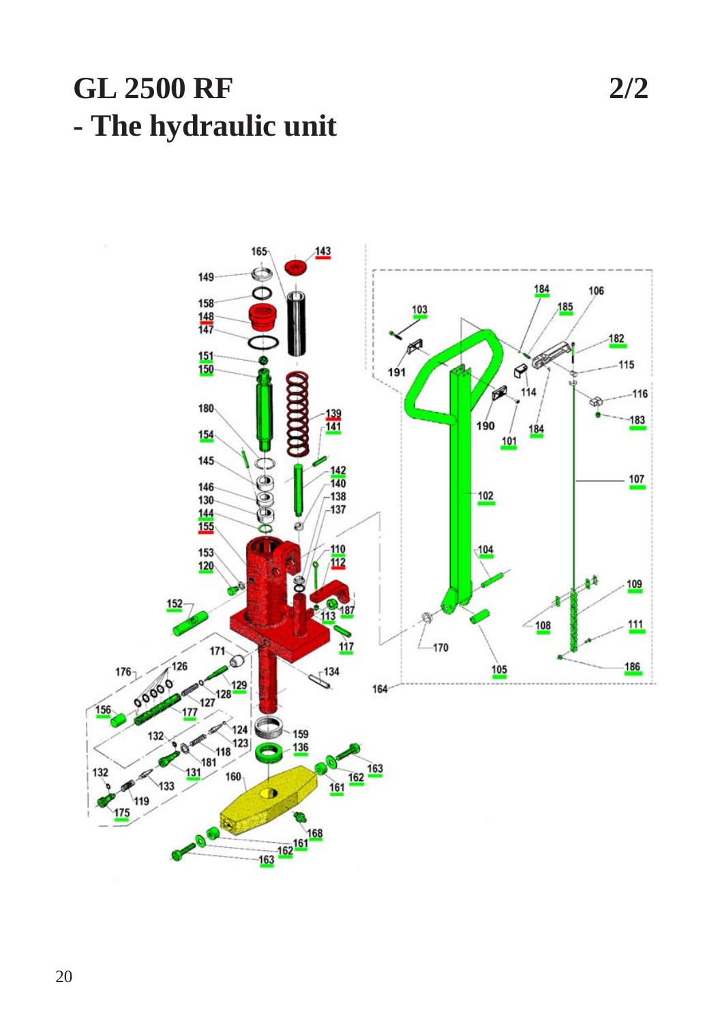## **GL 2500 RF** - The hydraulic unit